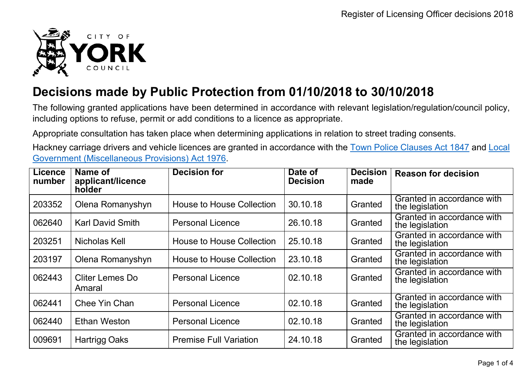

## **Decisions made by Public Protection from 01/10/2018 to 30/10/2018**

The following granted applications have been determined in accordance with relevant legislation/regulation/council policy, including options to refuse, permit or add conditions to a licence as appropriate.

Appropriate consultation has taken place when determining applications in relation to street trading consents.

Hackney carriage drivers and vehicle licences are granted in accordance with the Town Police [Clauses](http://www.legislation.gov.uk/ukpga/Vict/10-11/89) Act 1847 and [Local](http://www.legislation.gov.uk/ukpga/1976/57) [Government \(Miscellaneous Provisions\) Act 1976.](http://www.legislation.gov.uk/ukpga/1976/57)

| <b>Licence</b><br>number | Name of<br>applicant/licence<br>holder | <b>Decision for</b>              | Date of<br><b>Decision</b> | <b>Decision</b><br>made | <b>Reason for decision</b>                    |
|--------------------------|----------------------------------------|----------------------------------|----------------------------|-------------------------|-----------------------------------------------|
| 203352                   | Olena Romanyshyn                       | House to House Collection        | 30.10.18                   | Granted                 | Granted in accordance with<br>the legislation |
| 062640                   | <b>Karl David Smith</b>                | <b>Personal Licence</b>          | 26.10.18                   | Granted                 | Granted in accordance with<br>the legislation |
| 203251                   | Nicholas Kell                          | <b>House to House Collection</b> | 25.10.18                   | Granted                 | Granted in accordance with<br>the legislation |
| 203197                   | Olena Romanyshyn                       | <b>House to House Collection</b> | 23.10.18                   | Granted                 | Granted in accordance with<br>the legislation |
| 062443                   | Cliter Lemes Do<br>Amaral              | <b>Personal Licence</b>          | 02.10.18                   | Granted                 | Granted in accordance with<br>the legislation |
| 062441                   | Chee Yin Chan                          | <b>Personal Licence</b>          | 02.10.18                   | Granted                 | Granted in accordance with<br>the legislation |
| 062440                   | Ethan Weston                           | <b>Personal Licence</b>          | 02.10.18                   | Granted                 | Granted in accordance with<br>the legislation |
| 009691                   | <b>Hartrigg Oaks</b>                   | <b>Premise Full Variation</b>    | 24.10.18                   | Granted                 | Granted in accordance with<br>the legislation |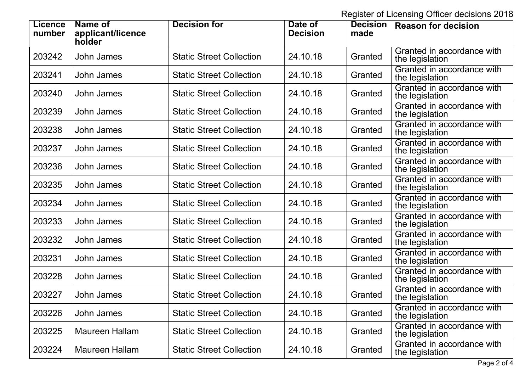Register of Licensing Officer decisions 2018

| <b>Licence</b><br>number | Name of<br>applicant/licence<br>holder | <b>Decision for</b>             | Date of<br><b>Decision</b> | <b>Decision</b><br>made | <b>Reason for decision</b>                    |
|--------------------------|----------------------------------------|---------------------------------|----------------------------|-------------------------|-----------------------------------------------|
| 203242                   | <b>John James</b>                      | <b>Static Street Collection</b> | 24.10.18                   | Granted                 | Granted in accordance with<br>the legislation |
| 203241                   | <b>John James</b>                      | <b>Static Street Collection</b> | 24.10.18                   | Granted                 | Granted in accordance with<br>the legislation |
| 203240                   | John James                             | <b>Static Street Collection</b> | 24.10.18                   | Granted                 | Granted in accordance with<br>the legislation |
| 203239                   | <b>John James</b>                      | <b>Static Street Collection</b> | 24.10.18                   | Granted                 | Granted in accordance with<br>the legislation |
| 203238                   | <b>John James</b>                      | <b>Static Street Collection</b> | 24.10.18                   | Granted                 | Granted in accordance with<br>the legislation |
| 203237                   | <b>John James</b>                      | <b>Static Street Collection</b> | 24.10.18                   | Granted                 | Granted in accordance with<br>the legislation |
| 203236                   | John James                             | <b>Static Street Collection</b> | 24.10.18                   | Granted                 | Granted in accordance with<br>the legislation |
| 203235                   | John James                             | <b>Static Street Collection</b> | 24.10.18                   | Granted                 | Granted in accordance with<br>the legislation |
| 203234                   | <b>John James</b>                      | <b>Static Street Collection</b> | 24.10.18                   | Granted                 | Granted in accordance with<br>the legislation |
| 203233                   | John James                             | <b>Static Street Collection</b> | 24.10.18                   | Granted                 | Granted in accordance with<br>the legislation |
| 203232                   | <b>John James</b>                      | <b>Static Street Collection</b> | 24.10.18                   | Granted                 | Granted in accordance with<br>the legislation |
| 203231                   | <b>John James</b>                      | <b>Static Street Collection</b> | 24.10.18                   | Granted                 | Granted in accordance with<br>the legislation |
| 203228                   | <b>John James</b>                      | <b>Static Street Collection</b> | 24.10.18                   | Granted                 | Granted in accordance with<br>the legislation |
| 203227                   | <b>John James</b>                      | <b>Static Street Collection</b> | 24.10.18                   | Granted                 | Granted in accordance with<br>the legislation |
| 203226                   | John James                             | <b>Static Street Collection</b> | 24.10.18                   | Granted                 | Granted in accordance with<br>the legislation |
| 203225                   | Maureen Hallam                         | <b>Static Street Collection</b> | 24.10.18                   | Granted                 | Granted in accordance with<br>the legislation |
| 203224                   | <b>Maureen Hallam</b>                  | <b>Static Street Collection</b> | 24.10.18                   | Granted                 | Granted in accordance with<br>the legislation |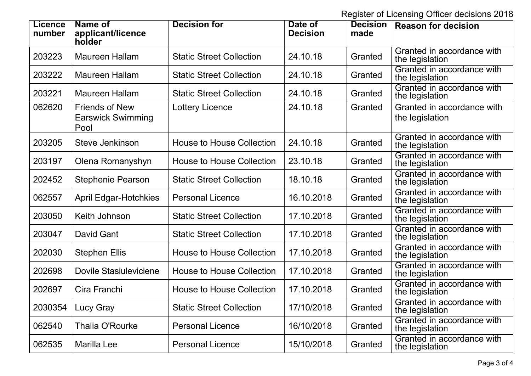Register of Licensing Officer decisions 2018

| <b>Licence</b><br>number | Name of<br>applicant/licence<br>holder                    | <b>Decision for</b>              | Date of<br><b>Decision</b> | <b>Decision</b><br>made | <b>Reason for decision</b>                    |
|--------------------------|-----------------------------------------------------------|----------------------------------|----------------------------|-------------------------|-----------------------------------------------|
| 203223                   | <b>Maureen Hallam</b>                                     | <b>Static Street Collection</b>  | 24.10.18                   | Granted                 | Granted in accordance with<br>the legislation |
| 203222                   | Maureen Hallam                                            | <b>Static Street Collection</b>  | 24.10.18                   | Granted                 | Granted in accordance with<br>the legislation |
| 203221                   | Maureen Hallam                                            | <b>Static Street Collection</b>  | 24.10.18                   | Granted                 | Granted in accordance with<br>the legislation |
| 062620                   | <b>Friends of New</b><br><b>Earswick Swimming</b><br>Pool | <b>Lottery Licence</b>           | 24.10.18                   | Granted                 | Granted in accordance with<br>the legislation |
| 203205                   | Steve Jenkinson                                           | <b>House to House Collection</b> | 24.10.18                   | Granted                 | Granted in accordance with<br>the legislation |
| 203197                   | Olena Romanyshyn                                          | House to House Collection        | 23.10.18                   | Granted                 | Granted in accordance with<br>the legislation |
| 202452                   | <b>Stephenie Pearson</b>                                  | <b>Static Street Collection</b>  | 18.10.18                   | Granted                 | Granted in accordance with<br>the legislation |
| 062557                   | <b>April Edgar-Hotchkies</b>                              | <b>Personal Licence</b>          | 16.10.2018                 | Granted                 | Granted in accordance with<br>the legislation |
| 203050                   | Keith Johnson                                             | <b>Static Street Collection</b>  | 17.10.2018                 | Granted                 | Granted in accordance with<br>the legislation |
| 203047                   | David Gant                                                | <b>Static Street Collection</b>  | 17.10.2018                 | Granted                 | Granted in accordance with<br>the legislation |
| 202030                   | <b>Stephen Ellis</b>                                      | <b>House to House Collection</b> | 17.10.2018                 | Granted                 | Granted in accordance with<br>the legislation |
| 202698                   | Dovile Stasiuleviciene                                    | <b>House to House Collection</b> | 17.10.2018                 | Granted                 | Granted in accordance with<br>the legislation |
| 202697                   | Cira Franchi                                              | <b>House to House Collection</b> | 17.10.2018                 | Granted                 | Granted in accordance with<br>the legislation |
| 2030354                  | Lucy Gray                                                 | <b>Static Street Collection</b>  | 17/10/2018                 | Granted                 | Granted in accordance with<br>the legislation |
| 062540                   | <b>Thalia O'Rourke</b>                                    | <b>Personal Licence</b>          | 16/10/2018                 | Granted                 | Granted in accordance with<br>the legislation |
| 062535                   | Marilla Lee                                               | <b>Personal Licence</b>          | 15/10/2018                 | Granted                 | Granted in accordance with<br>the legislation |